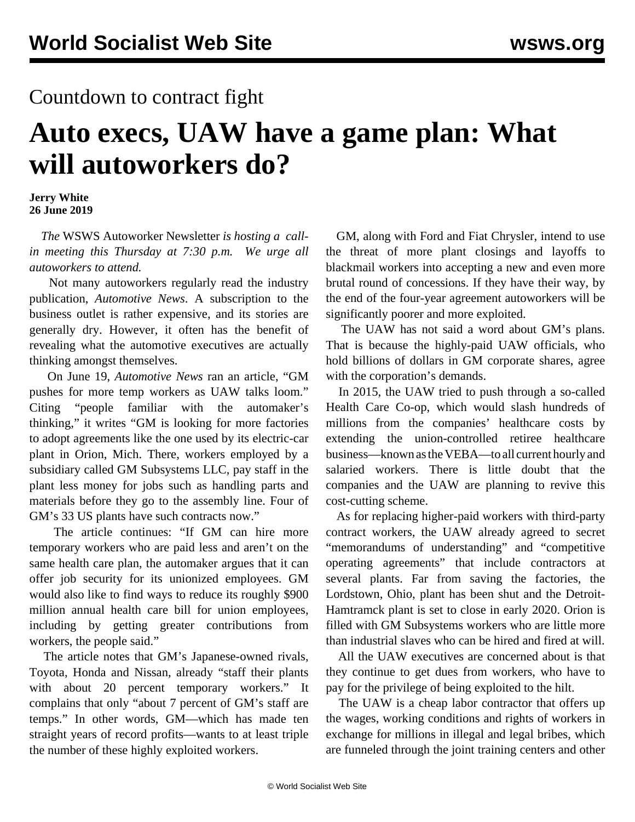## Countdown to contract fight

## **Auto execs, UAW have a game plan: What will autoworkers do?**

**Jerry White 26 June 2019**

 *The* WSWS Autoworker Newsletter *is hosting a [call](https://mailchi.mp/2ada640238a3/auto)[in meeting this Thursday at 7:30 p.m.](https://mailchi.mp/2ada640238a3/auto) We urge all autoworkers to attend.*

 Not many autoworkers regularly read the industry publication, *Automotive News*. A subscription to the business outlet is rather expensive, and its stories are generally dry. However, it often has the benefit of revealing what the automotive executives are actually thinking amongst themselves.

 On June 19, *Automotive News* ran an article, "GM pushes for more temp workers as UAW talks loom." Citing "people familiar with the automaker's thinking," it writes "GM is looking for more factories to adopt agreements like the one used by its electric-car plant in Orion, Mich. There, workers employed by a subsidiary called GM Subsystems LLC, pay staff in the plant less money for jobs such as handling parts and materials before they go to the assembly line. Four of GM's 33 US plants have such contracts now."

 The article continues: "If GM can hire more temporary workers who are paid less and aren't on the same health care plan, the automaker argues that it can offer job security for its unionized employees. GM would also like to find ways to reduce its roughly \$900 million annual health care bill for union employees, including by getting greater contributions from workers, the people said."

 The article notes that GM's Japanese-owned rivals, Toyota, Honda and Nissan, already "staff their plants with about 20 percent temporary workers." It complains that only "about 7 percent of GM's staff are temps." In other words, GM—which has made ten straight years of record profits—wants to at least triple the number of these highly exploited workers.

 GM, along with Ford and Fiat Chrysler, intend to use the threat of more plant closings and layoffs to blackmail workers into accepting a new and even more brutal round of concessions. If they have their way, by the end of the four-year agreement autoworkers will be significantly poorer and more exploited.

 The UAW has not said a word about GM's plans. That is because the highly-paid UAW officials, who hold billions of dollars in GM corporate shares, agree with the corporation's demands.

 In 2015, the UAW tried to push through a so-called Health Care Co-op, which would slash hundreds of millions from the companies' healthcare costs by extending the union-controlled retiree healthcare business—known as the VEBA—to all current hourly and salaried workers. There is little doubt that the companies and the UAW are planning to revive this cost-cutting scheme.

 As for replacing higher-paid workers with third-party contract workers, the UAW already agreed to secret "memorandums of understanding" and "competitive operating agreements" that include contractors at several plants. Far from saving the factories, the Lordstown, Ohio, plant has been shut and the Detroit-Hamtramck plant is set to close in early 2020. Orion is filled with GM Subsystems workers who are little more than industrial slaves who can be hired and fired at will.

 All the UAW executives are concerned about is that they continue to get dues from workers, who have to pay for the privilege of being exploited to the hilt.

 The UAW is a cheap labor contractor that offers up the wages, working conditions and rights of workers in exchange for millions in illegal and legal bribes, which are funneled through the joint training centers and other